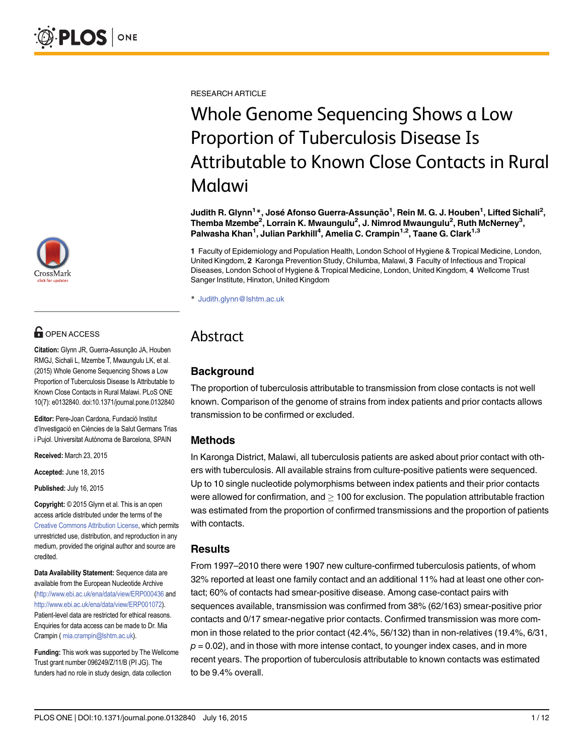

# **OPEN ACCESS**

Citation: Glynn JR, Guerra-Assunção JA, Houben RMGJ, Sichali L, Mzembe T, Mwaungulu LK, et al. (2015) Whole Genome Sequencing Shows a Low Proportion of Tuberculosis Disease Is Attributable to Known Close Contacts in Rural Malawi. PLoS ONE 10(7): e0132840. doi:10.1371/journal.pone.0132840

Editor: Pere-Joan Cardona, Fundació Institut d'Investigació en Ciències de la Salut Germans Trias i Pujol. Universitat Autònoma de Barcelona, SPAIN

Received: March 23, 2015

Accepted: June 18, 2015

Published: July 16, 2015

Copyright: © 2015 Glynn et al. This is an open access article distributed under the terms of the [Creative Commons Attribution License,](http://creativecommons.org/licenses/by/4.0/) which permits unrestricted use, distribution, and reproduction in any medium, provided the original author and source are credited.

Data Availability Statement: Sequence data are available from the European Nucleotide Archive [\(http://www.ebi.ac.uk/ena/data/view/ERP000436](http://www.ebi.ac.uk/ena/data/view/ERP000436) and [http://www.ebi.ac.uk/ena/data/view/ERP001072\)](http://www.ebi.ac.uk/ena/data/view/ERP001072). Patient-level data are restricted for ethical reasons. Enquiries for data access can be made to Dr. Mia Crampin ( mia.crampin@lshtm.ac.uk).

Funding: This work was supported by The Wellcome Trust grant number 096249/Z/11/B (PI JG). The funders had no role in study design, data collection

RESEARCH ARTICLE

# Whole Genome Sequencing Shows a Low<br>Proportion of Tuberculosis Disease Is Attributable to Known Close Contacts in Rural Malawi

Judith R. Glynn<sup>1</sup>\*, José Afonso Guerra-Assunção<sup>1</sup>, Rein M. G. J. Houben<sup>1</sup>, Lifted Sichali<sup>2</sup>, Themba Mzembe<sup>2</sup>, Lorrain K. Mwaungulu<sup>2</sup>, J. Nimrod Mwaungulu<sup>2</sup>, Ruth McNerney<sup>3</sup>, Palwasha Khan<sup>1</sup>, Julian Parkhill<sup>4</sup>, Amelia C. Crampin<sup>1,2</sup>, Taane G. Clark<sup>1,3</sup>

1 Faculty of Epidemiology and Population Health, London School of Hygiene & Tropical Medicine, London, United Kingdom, 2 Karonga Prevention Study, Chilumba, Malawi, 3 Faculty of Infectious and Tropical Diseases, London School of Hygiene & Tropical Medicine, London, United Kingdom, 4 Wellcome Trust Sanger Institute, Hinxton, United Kingdom

\* Judith.glynn@lshtm.ac.uk

## Abstract Abstract

### Background

The proportion of tuberculosis attributable to transmission from close contacts is not well known. Comparison of the genome of strains from index patients and prior contacts allows transmission to be confirmed or excluded.

#### Methods

In Karonga District, Malawi, all tuberculosis patients are asked about prior contact with others with tuberculosis. All available strains from culture-positive patients were sequenced. Up to 10 single nucleotide polymorphisms between index patients and their prior contacts were allowed for confirmation, and  $\geq 100$  for exclusion. The population attributable fraction was estimated from the proportion of confirmed transmissions and the proportion of patients with contacts.

#### **Results**

From 1997–2010 there were 1907 new culture-confirmed tuberculosis patients, of whom 32% reported at least one family contact and an additional 11% had at least one other contact; 60% of contacts had smear-positive disease. Among case-contact pairs with sequences available, transmission was confirmed from 38% (62/163) smear-positive prior contacts and 0/17 smear-negative prior contacts. Confirmed transmission was more common in those related to the prior contact (42.4%, 56/132) than in non-relatives (19.4%, 6/31,  $p = 0.02$ , and in those with more intense contact, to younger index cases, and in more recent years. The proportion of tuberculosis attributable to known contacts was estimated to be 9.4% overall.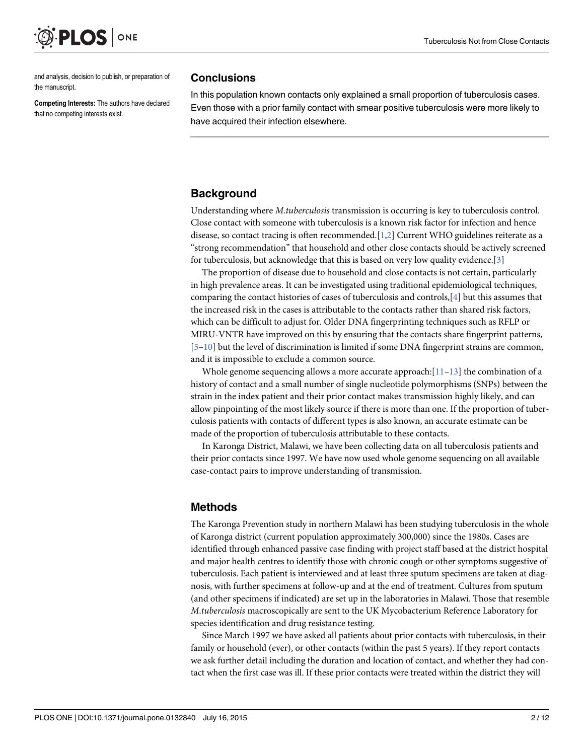<span id="page-1-0"></span>

and analysis, decision to publish, or preparation of the manuscript.

Competing Interests: The authors have declared that no competing interests exist.

#### **Conclusions**

In this population known contacts only explained a small proportion of tuberculosis cases. Even those with a prior family contact with smear positive tuberculosis were more likely to have acquired their infection elsewhere.

#### **Background**

Understanding where M.tuberculosis transmission is occurring is key to tuberculosis control. Close contact with someone with tuberculosis is a known risk factor for infection and hence disease, so contact tracing is often recommended.[[1,2\]](#page-10-0) Current WHO guidelines reiterate as a "strong recommendation" that household and other close contacts should be actively screened for tuberculosis, but acknowledge that this is based on very low quality evidence.[[3\]](#page-10-0)

The proportion of disease due to household and close contacts is not certain, particularly in high prevalence areas. It can be investigated using traditional epidemiological techniques, comparing the contact histories of cases of tuberculosis and controls,[\[4\]](#page-10-0) but this assumes that the increased risk in the cases is attributable to the contacts rather than shared risk factors, which can be difficult to adjust for. Older DNA fingerprinting techniques such as RFLP or MIRU-VNTR have improved on this by ensuring that the contacts share fingerprint patterns,  $[5-10]$  $[5-10]$  $[5-10]$  but the level of discrimination is limited if some DNA fingerprint strains are common, and it is impossible to exclude a common source.

Whole genome sequencing allows a more accurate approach: $[11-13]$  $[11-13]$  $[11-13]$  the combination of a history of contact and a small number of single nucleotide polymorphisms (SNPs) between the strain in the index patient and their prior contact makes transmission highly likely, and can allow pinpointing of the most likely source if there is more than one. If the proportion of tuberculosis patients with contacts of different types is also known, an accurate estimate can be made of the proportion of tuberculosis attributable to these contacts.

In Karonga District, Malawi, we have been collecting data on all tuberculosis patients and their prior contacts since 1997. We have now used whole genome sequencing on all available case-contact pairs to improve understanding of transmission.

#### Methods

The Karonga Prevention study in northern Malawi has been studying tuberculosis in the whole of Karonga district (current population approximately 300,000) since the 1980s. Cases are identified through enhanced passive case finding with project staff based at the district hospital and major health centres to identify those with chronic cough or other symptoms suggestive of tuberculosis. Each patient is interviewed and at least three sputum specimens are taken at diagnosis, with further specimens at follow-up and at the end of treatment. Cultures from sputum (and other specimens if indicated) are set up in the laboratories in Malawi. Those that resemble M.tuberculosis macroscopically are sent to the UK Mycobacterium Reference Laboratory for species identification and drug resistance testing.

Since March 1997 we have asked all patients about prior contacts with tuberculosis, in their family or household (ever), or other contacts (within the past 5 years). If they report contacts we ask further detail including the duration and location of contact, and whether they had contact when the first case was ill. If these prior contacts were treated within the district they will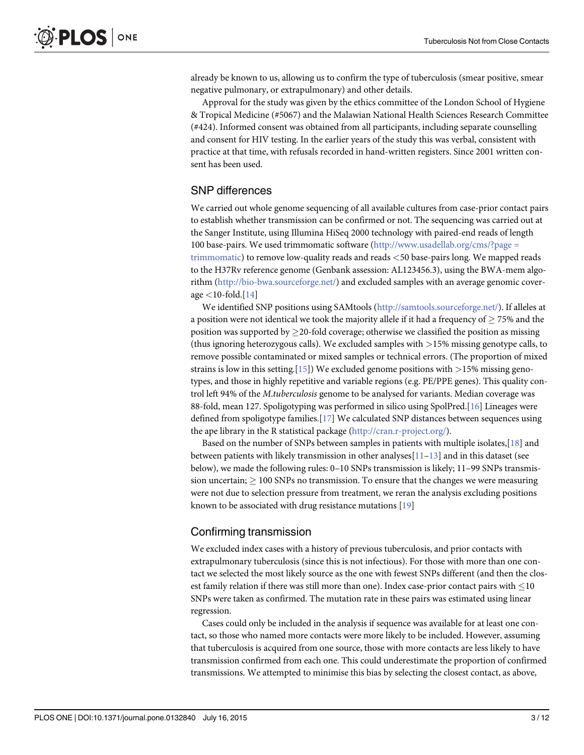<span id="page-2-0"></span>already be known to us, allowing us to confirm the type of tuberculosis (smear positive, smear negative pulmonary, or extrapulmonary) and other details.

Approval for the study was given by the ethics committee of the London School of Hygiene & Tropical Medicine (#5067) and the Malawian National Health Sciences Research Committee (#424). Informed consent was obtained from all participants, including separate counselling and consent for HIV testing. In the earlier years of the study this was verbal, consistent with practice at that time, with refusals recorded in hand-written registers. Since 2001 written consent has been used.

#### SNP differences

We carried out whole genome sequencing of all available cultures from case-prior contact pairs to establish whether transmission can be confirmed or not. The sequencing was carried out at the Sanger Institute, using Illumina HiSeq 2000 technology with paired-end reads of length 100 base-pairs. We used trimmomatic software [\(http://www.usadellab.org/cms/?page =](http://www.usadellab.org/cms/?page�=�trimmomatic) [trimmomatic\)](http://www.usadellab.org/cms/?page�=�trimmomatic) to remove low-quality reads and reads <50 base-pairs long. We mapped reads to the H37Rv reference genome (Genbank assession: AL123456.3), using the BWA-mem algorithm [\(http://bio-bwa.sourceforge.net/](http://bio-bwa.sourceforge.net/)) and excluded samples with an average genomic coverage  $<$ 10-fold.[ $14$ ]

We identified SNP positions using SAMtools [\(http://samtools.sourceforge.net/](http://samtools.sourceforge.net/)). If alleles at a position were not identical we took the majority allele if it had a frequency of  $> 75\%$  and the position was supported by  $\geq$  20-fold coverage; otherwise we classified the position as missing (thus ignoring heterozygous calls). We excluded samples with  $>15\%$  missing genotype calls, to remove possible contaminated or mixed samples or technical errors. (The proportion of mixed strains is low in this setting.[[15](#page-10-0)]) We excluded genome positions with  $>$ 15% missing genotypes, and those in highly repetitive and variable regions (e.g. PE/PPE genes). This quality control left 94% of the M.tuberculosis genome to be analysed for variants. Median coverage was 88-fold, mean 127. Spoligotyping was performed in silico using SpolPred.[\[16\]](#page-10-0) Lineages were defined from spoligotype families.[\[17\]](#page-10-0) We calculated SNP distances between sequences using the ape library in the R statistical package [\(http://cran.r-project.org/\)](http://cran.r-project.org/).

Based on the number of SNPs between samples in patients with multiple isolates,  $[18]$  and between patients with likely transmission in other analyses $[11–13]$  $[11–13]$  $[11–13]$  $[11–13]$  and in this dataset (see below), we made the following rules: 0–10 SNPs transmission is likely; 11–99 SNPs transmission uncertain;  $\geq 100$  SNPs no transmission. To ensure that the changes we were measuring were not due to selection pressure from treatment, we reran the analysis excluding positions known to be associated with drug resistance mutations [[19](#page-11-0)]

#### Confirming transmission

We excluded index cases with a history of previous tuberculosis, and prior contacts with extrapulmonary tuberculosis (since this is not infectious). For those with more than one contact we selected the most likely source as the one with fewest SNPs different (and then the closest family relation if there was still more than one). Index case-prior contact pairs with  $\leq$  10 SNPs were taken as confirmed. The mutation rate in these pairs was estimated using linear regression.

Cases could only be included in the analysis if sequence was available for at least one contact, so those who named more contacts were more likely to be included. However, assuming that tuberculosis is acquired from one source, those with more contacts are less likely to have transmission confirmed from each one. This could underestimate the proportion of confirmed transmissions. We attempted to minimise this bias by selecting the closest contact, as above,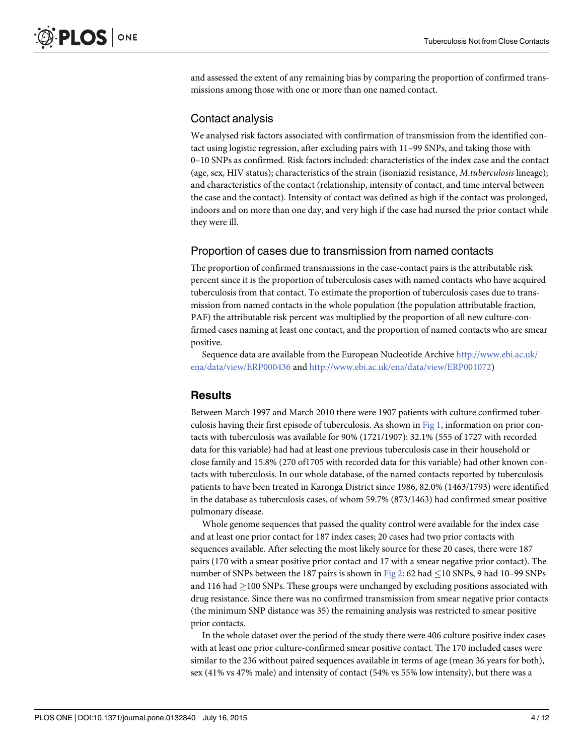<span id="page-3-0"></span>and assessed the extent of any remaining bias by comparing the proportion of confirmed transmissions among those with one or more than one named contact.

#### Contact analysis

We analysed risk factors associated with confirmation of transmission from the identified contact using logistic regression, after excluding pairs with 11–99 SNPs, and taking those with 0–10 SNPs as confirmed. Risk factors included: characteristics of the index case and the contact (age, sex, HIV status); characteristics of the strain (isoniazid resistance, M.tuberculosis lineage); and characteristics of the contact (relationship, intensity of contact, and time interval between the case and the contact). Intensity of contact was defined as high if the contact was prolonged, indoors and on more than one day, and very high if the case had nursed the prior contact while they were ill.

#### Proportion of cases due to transmission from named contacts

The proportion of confirmed transmissions in the case-contact pairs is the attributable risk percent since it is the proportion of tuberculosis cases with named contacts who have acquired tuberculosis from that contact. To estimate the proportion of tuberculosis cases due to transmission from named contacts in the whole population (the population attributable fraction, PAF) the attributable risk percent was multiplied by the proportion of all new culture-confirmed cases naming at least one contact, and the proportion of named contacts who are smear positive.

Sequence data are available from the European Nucleotide Archive [http://www.ebi.ac.uk/](http://www.ebi.ac.uk/ena/data/view/ERP000436) [ena/data/view/ERP000436](http://www.ebi.ac.uk/ena/data/view/ERP000436) and <http://www.ebi.ac.uk/ena/data/view/ERP001072>)

#### **Results**

Between March 1997 and March 2010 there were 1907 patients with culture confirmed tuberculosis having their first episode of tuberculosis. As shown in [Fig 1](#page-4-0), information on prior contacts with tuberculosis was available for 90% (1721/1907): 32.1% (555 of 1727 with recorded data for this variable) had had at least one previous tuberculosis case in their household or close family and 15.8% (270 of1705 with recorded data for this variable) had other known contacts with tuberculosis. In our whole database, of the named contacts reported by tuberculosis patients to have been treated in Karonga District since 1986, 82.0% (1463/1793) were identified in the database as tuberculosis cases, of whom 59.7% (873/1463) had confirmed smear positive pulmonary disease.

Whole genome sequences that passed the quality control were available for the index case and at least one prior contact for 187 index cases; 20 cases had two prior contacts with sequences available. After selecting the most likely source for these 20 cases, there were 187 pairs (170 with a smear positive prior contact and 17 with a smear negative prior contact). The number of SNPs between the 187 pairs is shown in [Fig 2:](#page-5-0) 62 had  $\leq$  10 SNPs, 9 had 10–99 SNPs and 116 had  $>$ 100 SNPs. These groups were unchanged by excluding positions associated with drug resistance. Since there was no confirmed transmission from smear negative prior contacts (the minimum SNP distance was 35) the remaining analysis was restricted to smear positive prior contacts.

In the whole dataset over the period of the study there were 406 culture positive index cases with at least one prior culture-confirmed smear positive contact. The 170 included cases were similar to the 236 without paired sequences available in terms of age (mean 36 years for both), sex (41% vs 47% male) and intensity of contact (54% vs 55% low intensity), but there was a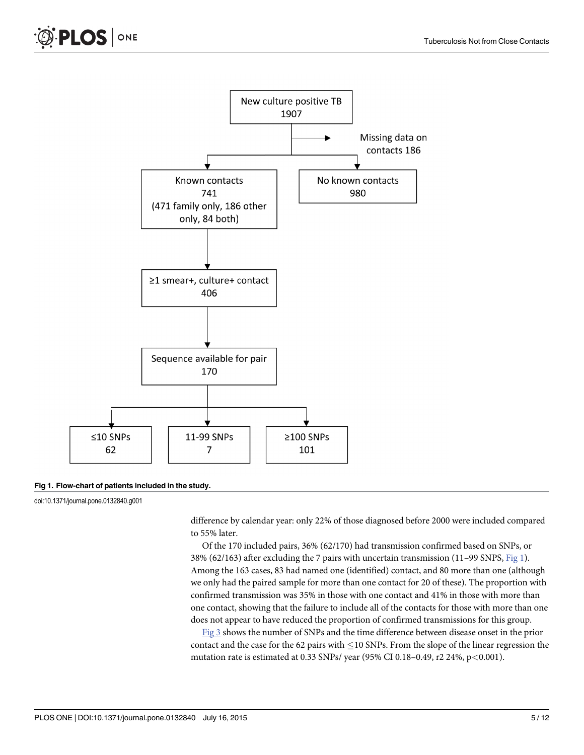<span id="page-4-0"></span>



#### [Fig 1. F](#page-3-0)low-chart of patients included in the study.

doi:10.1371/journal.pone.0132840.g001

difference by calendar year: only 22% of those diagnosed before 2000 were included compared to 55% later.

Of the 170 included pairs, 36% (62/170) had transmission confirmed based on SNPs, or 38% (62/163) after excluding the 7 pairs with uncertain transmission (11–99 SNPS, Fig 1). Among the 163 cases, 83 had named one (identified) contact, and 80 more than one (although we only had the paired sample for more than one contact for 20 of these). The proportion with confirmed transmission was 35% in those with one contact and 41% in those with more than one contact, showing that the failure to include all of the contacts for those with more than one does not appear to have reduced the proportion of confirmed transmissions for this group.

[Fig 3](#page-6-0) shows the number of SNPs and the time difference between disease onset in the prior contact and the case for the 62 pairs with  $\leq$  10 SNPs. From the slope of the linear regression the mutation rate is estimated at 0.33 SNPs/ year (95% CI 0.18–0.49, r2 24%, p<0.001).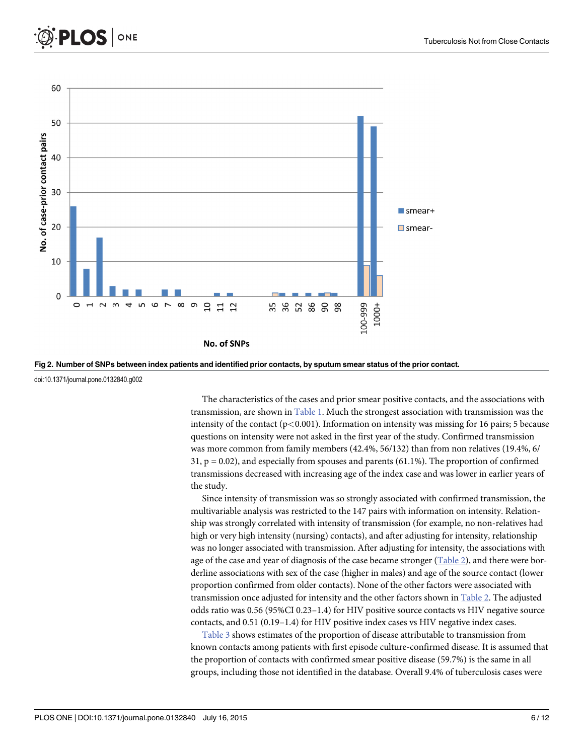<span id="page-5-0"></span>



[Fig 2. N](#page-3-0)umber of SNPs between index patients and identified prior contacts, by sputum smear status of the prior contact.

doi:10.1371/journal.pone.0132840.g002

The characteristics of the cases and prior smear positive contacts, and the associations with transmission, are shown in [Table 1.](#page-7-0) Much the strongest association with transmission was the intensity of the contact  $(p<0.001)$ . Information on intensity was missing for 16 pairs; 5 because questions on intensity were not asked in the first year of the study. Confirmed transmission was more common from family members (42.4%, 56/132) than from non relatives (19.4%, 6/  $31, p = 0.02$ , and especially from spouses and parents (61.1%). The proportion of confirmed transmissions decreased with increasing age of the index case and was lower in earlier years of the study.

Since intensity of transmission was so strongly associated with confirmed transmission, the multivariable analysis was restricted to the 147 pairs with information on intensity. Relationship was strongly correlated with intensity of transmission (for example, no non-relatives had high or very high intensity (nursing) contacts), and after adjusting for intensity, relationship was no longer associated with transmission. After adjusting for intensity, the associations with age of the case and year of diagnosis of the case became stronger  $(Table 2)$  $(Table 2)$  $(Table 2)$ , and there were borderline associations with sex of the case (higher in males) and age of the source contact (lower proportion confirmed from older contacts). None of the other factors were associated with transmission once adjusted for intensity and the other factors shown in [Table 2.](#page-8-0) The adjusted odds ratio was 0.56 (95%CI 0.23–1.4) for HIV positive source contacts vs HIV negative source contacts, and 0.51 (0.19–1.4) for HIV positive index cases vs HIV negative index cases.

[Table 3](#page-8-0) shows estimates of the proportion of disease attributable to transmission from known contacts among patients with first episode culture-confirmed disease. It is assumed that the proportion of contacts with confirmed smear positive disease (59.7%) is the same in all groups, including those not identified in the database. Overall 9.4% of tuberculosis cases were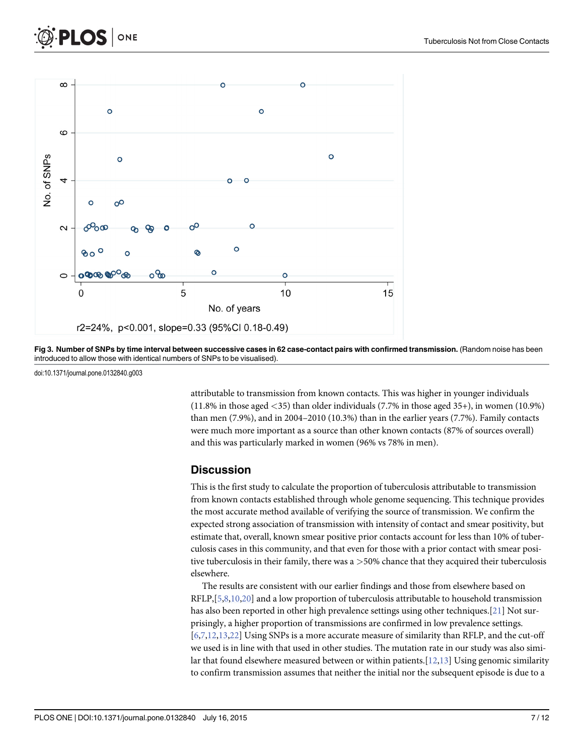<span id="page-6-0"></span>



[Fig 3. N](#page-4-0)umber of SNPs by time interval between successive cases in 62 case-contact pairs with confirmed transmission. (Random noise has been introduced to allow those with identical numbers of SNPs to be visualised).

doi:10.1371/journal.pone.0132840.g003

attributable to transmission from known contacts. This was higher in younger individuals (11.8% in those aged <35) than older individuals (7.7% in those aged 35+), in women (10.9%) than men (7.9%), and in 2004–2010 (10.3%) than in the earlier years (7.7%). Family contacts were much more important as a source than other known contacts (87% of sources overall) and this was particularly marked in women (96% vs 78% in men).

#### **Discussion**

This is the first study to calculate the proportion of tuberculosis attributable to transmission from known contacts established through whole genome sequencing. This technique provides the most accurate method available of verifying the source of transmission. We confirm the expected strong association of transmission with intensity of contact and smear positivity, but estimate that, overall, known smear positive prior contacts account for less than 10% of tuberculosis cases in this community, and that even for those with a prior contact with smear positive tuberculosis in their family, there was a >50% chance that they acquired their tuberculosis elsewhere.

The results are consistent with our earlier findings and those from elsewhere based on  $RFLP, [5,8,10,20]$  $RFLP, [5,8,10,20]$  $RFLP, [5,8,10,20]$  $RFLP, [5,8,10,20]$  $RFLP, [5,8,10,20]$  and a low proportion of tuberculosis attributable to household transmission has also been reported in other high prevalence settings using other techniques.[[21](#page-11-0)] Not surprisingly, a higher proportion of transmissions are confirmed in low prevalence settings. [\[6,7,12,13,](#page-10-0)[22\]](#page-11-0) Using SNPs is a more accurate measure of similarity than RFLP, and the cut-off we used is in line with that used in other studies. The mutation rate in our study was also similar that found elsewhere measured between or within patients.  $[12,13]$  $[12,13]$  Using genomic similarity to confirm transmission assumes that neither the initial nor the subsequent episode is due to a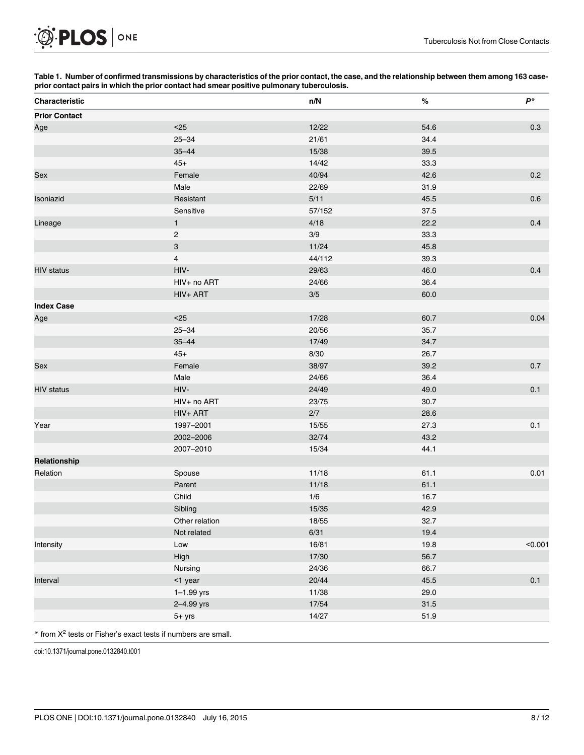[Table 1.](#page-5-0) Number of confirmed transmissions by characteristics of the prior contact, the case, and the relationship between them among 163 caseprior contact pairs in which the prior contact had smear positive pulmonary tuberculosis.

| Characteristic       |                | n/N    | $\%$ | $\boldsymbol{P}^*$ |
|----------------------|----------------|--------|------|--------------------|
| <b>Prior Contact</b> |                |        |      |                    |
| Age                  | $25$           | 12/22  | 54.6 | 0.3                |
|                      | $25 - 34$      | 21/61  | 34.4 |                    |
|                      | $35 - 44$      | 15/38  | 39.5 |                    |
|                      | $45+$          | 14/42  | 33.3 |                    |
| Sex                  | Female         | 40/94  | 42.6 | 0.2                |
|                      | Male           | 22/69  | 31.9 |                    |
| Isoniazid            | Resistant      | 5/11   | 45.5 | 0.6                |
|                      | Sensitive      | 57/152 | 37.5 |                    |
| Lineage              | $\mathbf{1}$   | 4/18   | 22.2 | 0.4                |
|                      | $\sqrt{2}$     | 3/9    | 33.3 |                    |
|                      | $\mathbf{3}$   | 11/24  | 45.8 |                    |
|                      | $\overline{4}$ | 44/112 | 39.3 |                    |
| <b>HIV</b> status    | HIV-           | 29/63  | 46.0 | 0.4                |
|                      | HIV+ no ART    | 24/66  | 36.4 |                    |
|                      | HIV+ ART       | $3/5$  | 60.0 |                    |
| <b>Index Case</b>    |                |        |      |                    |
| Age                  | $25$           | 17/28  | 60.7 | 0.04               |
|                      | $25 - 34$      | 20/56  | 35.7 |                    |
|                      | $35 - 44$      | 17/49  | 34.7 |                    |
|                      | $45+$          | 8/30   | 26.7 |                    |
| Sex                  | Female         | 38/97  | 39.2 | $0.7\,$            |
|                      | Male           | 24/66  | 36.4 |                    |
| <b>HIV status</b>    | HIV-           | 24/49  | 49.0 | 0.1                |
|                      | HIV+ no ART    | 23/75  | 30.7 |                    |
|                      | HIV+ ART       | 2/7    | 28.6 |                    |
| Year                 | 1997-2001      | 15/55  | 27.3 | 0.1                |
|                      | 2002-2006      | 32/74  | 43.2 |                    |
|                      | 2007-2010      | 15/34  | 44.1 |                    |
| Relationship         |                |        |      |                    |
| Relation             | Spouse         | 11/18  | 61.1 | 0.01               |
|                      | Parent         | 11/18  | 61.1 |                    |
|                      | Child          | 1/6    | 16.7 |                    |
|                      | Sibling        | 15/35  | 42.9 |                    |
|                      | Other relation | 18/55  | 32.7 |                    |
|                      | Not related    | 6/31   | 19.4 |                    |
| Intensity            | Low            | 16/81  | 19.8 | < 0.001            |
|                      | High           | 17/30  | 56.7 |                    |
|                      | Nursing        | 24/36  | 66.7 |                    |
| Interval             | <1 year        | 20/44  | 45.5 | $0.1\,$            |
|                      | $1 - 1.99$ yrs | 11/38  | 29.0 |                    |
|                      | 2-4.99 yrs     | 17/54  | 31.5 |                    |
|                      | $5+$ yrs       | 14/27  | 51.9 |                    |

 $*$  from  $X^2$  tests or Fisher's exact tests if numbers are small.

doi:10.1371/journal.pone.0132840.t001

<span id="page-7-0"></span>O PLOS ONE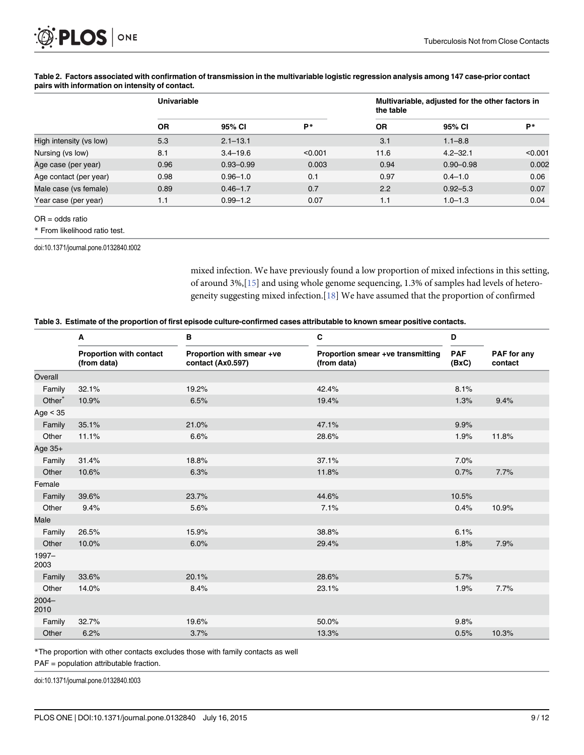|                         | <b>Univariable</b> |               |            | Multivariable, adjusted for the other factors in<br>the table |               |         |
|-------------------------|--------------------|---------------|------------|---------------------------------------------------------------|---------------|---------|
|                         | <b>OR</b>          | 95% CI        | <b>D</b> * | <b>OR</b>                                                     | 95% CI        | P*      |
| High intensity (vs low) | 5.3                | $2.1 - 13.1$  |            | 3.1                                                           | $1.1 - 8.8$   |         |
| Nursing (vs low)        | 8.1                | $3.4 - 19.6$  | < 0.001    | 11.6                                                          | $4.2 - 32.1$  | < 0.001 |
| Age case (per year)     | 0.96               | $0.93 - 0.99$ | 0.003      | 0.94                                                          | $0.90 - 0.98$ | 0.002   |
| Age contact (per year)  | 0.98               | $0.96 - 1.0$  | 0.1        | 0.97                                                          | $0.4 - 1.0$   | 0.06    |
| Male case (vs female)   | 0.89               | $0.46 - 1.7$  | 0.7        | 2.2                                                           | $0.92 - 5.3$  | 0.07    |
| Year case (per year)    | 1.1                | $0.99 - 1.2$  | 0.07       | 1.1                                                           | $1.0 - 1.3$   | 0.04    |

#### <span id="page-8-0"></span>[Table 2.](#page-5-0) Factors associated with confirmation of transmission in the multivariable logistic regression analysis among 147 case-prior contact pairs with information on intensity of contact.

OR = odds ratio

\* From likelihood ratio test.

doi:10.1371/journal.pone.0132840.t002

mixed infection. We have previously found a low proportion of mixed infections in this setting, of around 3%,[\[15\]](#page-10-0) and using whole genome sequencing, 1.3% of samples had levels of heterogeneity suggesting mixed infection.[\[18](#page-10-0)] We have assumed that the proportion of confirmed

|  |  |  | Table 3. Estimate of the proportion of first episode culture-confirmed cases attributable to known smear positive contacts. |  |
|--|--|--|-----------------------------------------------------------------------------------------------------------------------------|--|
|--|--|--|-----------------------------------------------------------------------------------------------------------------------------|--|

|                    | A                                      | в                                              | C                                                | D                   |                        |
|--------------------|----------------------------------------|------------------------------------------------|--------------------------------------------------|---------------------|------------------------|
|                    | Proportion with contact<br>(from data) | Proportion with smear +ve<br>contact (Ax0.597) | Proportion smear +ve transmitting<br>(from data) | <b>PAF</b><br>(BxC) | PAF for any<br>contact |
| Overall            |                                        |                                                |                                                  |                     |                        |
| Family             | 32.1%                                  | 19.2%                                          | 42.4%                                            | 8.1%                |                        |
| Other <sup>*</sup> | 10.9%                                  | 6.5%                                           | 19.4%                                            | 1.3%                | 9.4%                   |
| Age $<$ 35         |                                        |                                                |                                                  |                     |                        |
| Family             | 35.1%                                  | 21.0%                                          | 47.1%                                            | 9.9%                |                        |
| Other              | 11.1%                                  | 6.6%                                           | 28.6%                                            | 1.9%                | 11.8%                  |
| Age 35+            |                                        |                                                |                                                  |                     |                        |
| Family             | 31.4%                                  | 18.8%                                          | 37.1%                                            | 7.0%                |                        |
| Other              | 10.6%                                  | 6.3%                                           | 11.8%                                            | 0.7%                | 7.7%                   |
| Female             |                                        |                                                |                                                  |                     |                        |
| Family             | 39.6%                                  | 23.7%                                          | 44.6%                                            | 10.5%               |                        |
| Other              | 9.4%                                   | 5.6%                                           | 7.1%                                             | 0.4%                | 10.9%                  |
| Male               |                                        |                                                |                                                  |                     |                        |
| Family             | 26.5%                                  | 15.9%                                          | 38.8%                                            | 6.1%                |                        |
| Other              | 10.0%                                  | 6.0%                                           | 29.4%                                            | 1.8%                | 7.9%                   |
| $1997 -$<br>2003   |                                        |                                                |                                                  |                     |                        |
| Family             | 33.6%                                  | 20.1%                                          | 28.6%                                            | 5.7%                |                        |
| Other              | 14.0%                                  | 8.4%                                           | 23.1%                                            | 1.9%                | 7.7%                   |
| $2004 -$<br>2010   |                                        |                                                |                                                  |                     |                        |
| Family             | 32.7%                                  | 19.6%                                          | 50.0%                                            | 9.8%                |                        |
| Other              | 6.2%                                   | 3.7%                                           | 13.3%                                            | 0.5%                | 10.3%                  |

\*The proportion with other contacts excludes those with family contacts as well

PAF = population attributable fraction.

doi:10.1371/journal.pone.0132840.t003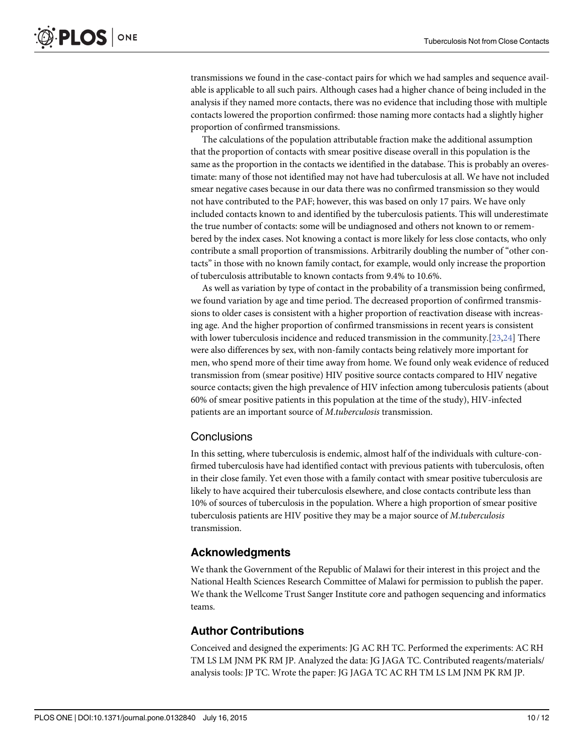<span id="page-9-0"></span>transmissions we found in the case-contact pairs for which we had samples and sequence available is applicable to all such pairs. Although cases had a higher chance of being included in the analysis if they named more contacts, there was no evidence that including those with multiple contacts lowered the proportion confirmed: those naming more contacts had a slightly higher proportion of confirmed transmissions.

The calculations of the population attributable fraction make the additional assumption that the proportion of contacts with smear positive disease overall in this population is the same as the proportion in the contacts we identified in the database. This is probably an overestimate: many of those not identified may not have had tuberculosis at all. We have not included smear negative cases because in our data there was no confirmed transmission so they would not have contributed to the PAF; however, this was based on only 17 pairs. We have only included contacts known to and identified by the tuberculosis patients. This will underestimate the true number of contacts: some will be undiagnosed and others not known to or remembered by the index cases. Not knowing a contact is more likely for less close contacts, who only contribute a small proportion of transmissions. Arbitrarily doubling the number of "other contacts" in those with no known family contact, for example, would only increase the proportion of tuberculosis attributable to known contacts from 9.4% to 10.6%.

As well as variation by type of contact in the probability of a transmission being confirmed, we found variation by age and time period. The decreased proportion of confirmed transmissions to older cases is consistent with a higher proportion of reactivation disease with increasing age. And the higher proportion of confirmed transmissions in recent years is consistent with lower tuberculosis incidence and reduced transmission in the community.[[23](#page-11-0),[24](#page-11-0)] There were also differences by sex, with non-family contacts being relatively more important for men, who spend more of their time away from home. We found only weak evidence of reduced transmission from (smear positive) HIV positive source contacts compared to HIV negative source contacts; given the high prevalence of HIV infection among tuberculosis patients (about 60% of smear positive patients in this population at the time of the study), HIV-infected patients are an important source of M.tuberculosis transmission.

#### **Conclusions**

In this setting, where tuberculosis is endemic, almost half of the individuals with culture-confirmed tuberculosis have had identified contact with previous patients with tuberculosis, often in their close family. Yet even those with a family contact with smear positive tuberculosis are likely to have acquired their tuberculosis elsewhere, and close contacts contribute less than 10% of sources of tuberculosis in the population. Where a high proportion of smear positive tuberculosis patients are HIV positive they may be a major source of M.tuberculosis transmission.

#### Acknowledgments

We thank the Government of the Republic of Malawi for their interest in this project and the National Health Sciences Research Committee of Malawi for permission to publish the paper. We thank the Wellcome Trust Sanger Institute core and pathogen sequencing and informatics teams.

#### Author Contributions

Conceived and designed the experiments: JG AC RH TC. Performed the experiments: AC RH TM LS LM JNM PK RM JP. Analyzed the data: JG JAGA TC. Contributed reagents/materials/ analysis tools: JP TC. Wrote the paper: JG JAGA TC AC RH TM LS LM JNM PK RM JP.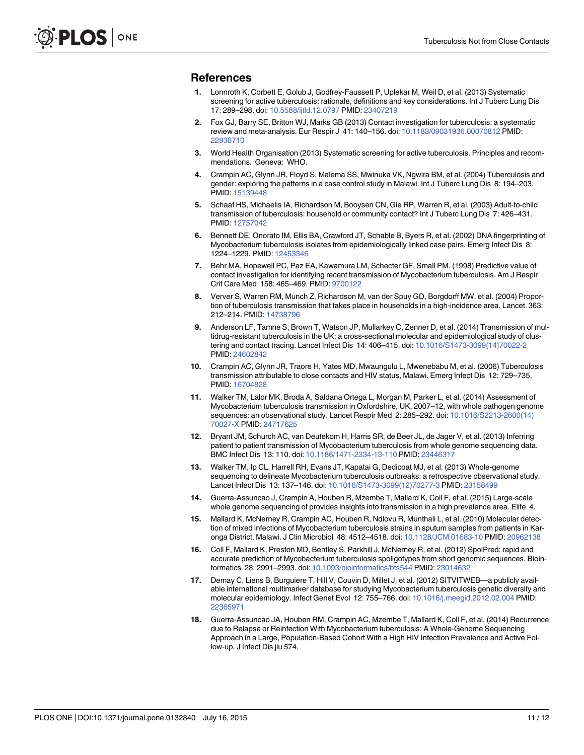#### <span id="page-10-0"></span>References

- [1.](#page-1-0) Lonnroth K, Corbett E, Golub J, Godfrey-Faussett P, Uplekar M, Weil D, et al. (2013) Systematic screening for active tuberculosis: rationale, definitions and key considerations. Int J Tuberc Lung Dis 17: 289–298. doi: [10.5588/ijtld.12.0797](http://dx.doi.org/10.5588/ijtld.12.0797) PMID: [23407219](http://www.ncbi.nlm.nih.gov/pubmed/23407219)
- [2.](#page-1-0) Fox GJ, Barry SE, Britton WJ, Marks GB (2013) Contact investigation for tuberculosis: a systematic review and meta-analysis. Eur Respir J 41: 140–156. doi: [10.1183/09031936.00070812](http://dx.doi.org/10.1183/09031936.00070812) PMID: [22936710](http://www.ncbi.nlm.nih.gov/pubmed/22936710)
- [3.](#page-1-0) World Health Organisation (2013) Systematic screening for active tuberculosis. Principles and recommendations. Geneva: WHO.
- [4.](#page-1-0) Crampin AC, Glynn JR, Floyd S, Malema SS, Mwinuka VK, Ngwira BM, et al. (2004) Tuberculosis and gender: exploring the patterns in a case control study in Malawi. Int J Tuberc Lung Dis 8: 194–203. PMID: [15139448](http://www.ncbi.nlm.nih.gov/pubmed/15139448)
- [5.](#page-1-0) Schaaf HS, Michaelis IA, Richardson M, Booysen CN, Gie RP, Warren R, et al. (2003) Adult-to-child transmission of tuberculosis: household or community contact? Int J Tuberc Lung Dis 7: 426–431. PMID: [12757042](http://www.ncbi.nlm.nih.gov/pubmed/12757042)
- [6.](#page-6-0) Bennett DE, Onorato IM, Ellis BA, Crawford JT, Schable B, Byers R, et al. (2002) DNA fingerprinting of Mycobacterium tuberculosis isolates from epidemiologically linked case pairs. Emerg Infect Dis 8: 1224–1229. PMID: [12453346](http://www.ncbi.nlm.nih.gov/pubmed/12453346)
- [7.](#page-6-0) Behr MA, Hopewell PC, Paz EA, Kawamura LM, Schecter GF, Small PM. (1998) Predictive value of contact investigation for identifying recent transmission of Mycobacterium tuberculosis. Am J Respir Crit Care Med 158: 465–469. PMID: [9700122](http://www.ncbi.nlm.nih.gov/pubmed/9700122)
- [8.](#page-6-0) Verver S, Warren RM, Munch Z, Richardson M, van der Spuy GD, Borgdorff MW, et al. (2004) Proportion of tuberculosis transmission that takes place in households in a high-incidence area. Lancet 363: 212–214. PMID: [14738796](http://www.ncbi.nlm.nih.gov/pubmed/14738796)
- 9. Anderson LF, Tamne S, Brown T, Watson JP, Mullarkey C, Zenner D, et al. (2014) Transmission of multidrug-resistant tuberculosis in the UK: a cross-sectional molecular and epidemiological study of clustering and contact tracing. Lancet Infect Dis 14: 406–415. doi: [10.1016/S1473-3099\(14\)70022-2](http://dx.doi.org/10.1016/S1473-3099(14)70022-2) PMID: [24602842](http://www.ncbi.nlm.nih.gov/pubmed/24602842)
- [10.](#page-1-0) Crampin AC, Glynn JR, Traore H, Yates MD, Mwaungulu L, Mwenebabu M, et al. (2006) Tuberculosis transmission attributable to close contacts and HIV status, Malawi. Emerg Infect Dis 12: 729–735. PMID: [16704828](http://www.ncbi.nlm.nih.gov/pubmed/16704828)
- [11.](#page-1-0) Walker TM, Lalor MK, Broda A, Saldana Ortega L, Morgan M, Parker L, et al. (2014) Assessment of Mycobacterium tuberculosis transmission in Oxfordshire, UK, 2007–12, with whole pathogen genome sequences: an observational study. Lancet Respir Med 2: 285–292. doi: [10.1016/S2213-2600\(14\)](http://dx.doi.org/10.1016/S2213-2600(14)70027-X) [70027-X](http://dx.doi.org/10.1016/S2213-2600(14)70027-X) PMID: [24717625](http://www.ncbi.nlm.nih.gov/pubmed/24717625)
- [12.](#page-6-0) Bryant JM, Schurch AC, van Deutekom H, Harris SR, de Beer JL, de Jager V, et al. (2013) Inferring patient to patient transmission of Mycobacterium tuberculosis from whole genome sequencing data. BMC Infect Dis 13: 110. doi: [10.1186/1471-2334-13-110](http://dx.doi.org/10.1186/1471-2334-13-110) PMID: [23446317](http://www.ncbi.nlm.nih.gov/pubmed/23446317)
- [13.](#page-1-0) Walker TM, Ip CL, Harrell RH, Evans JT, Kapatai G, Dedicoat MJ, et al. (2013) Whole-genome sequencing to delineate Mycobacterium tuberculosis outbreaks: a retrospective observational study. Lancet Infect Dis 13: 137–146. doi: [10.1016/S1473-3099\(12\)70277-3](http://dx.doi.org/10.1016/S1473-3099(12)70277-3) PMID: [23158499](http://www.ncbi.nlm.nih.gov/pubmed/23158499)
- [14.](#page-2-0) Guerra-Assuncao J, Crampin A, Houben R, Mzembe T, Mallard K, Coll F, et al. (2015) Large-scale whole genome sequencing of provides insights into transmission in a high prevalence area. Elife 4.
- [15.](#page-2-0) Mallard K, McNerney R, Crampin AC, Houben R, Ndlovu R, Munthali L, et al. (2010) Molecular detection of mixed infections of Mycobacterium tuberculosis strains in sputum samples from patients in Karonga District, Malawi. J Clin Microbiol 48: 4512–4518. doi: [10.1128/JCM.01683-10](http://dx.doi.org/10.1128/JCM.01683-10) PMID: [20962138](http://www.ncbi.nlm.nih.gov/pubmed/20962138)
- [16.](#page-2-0) Coll F, Mallard K, Preston MD, Bentley S, Parkhill J, McNerney R, et al. (2012) SpolPred: rapid and accurate prediction of Mycobacterium tuberculosis spoligotypes from short genomic sequences. Bioinformatics 28: 2991–2993. doi: [10.1093/bioinformatics/bts544](http://dx.doi.org/10.1093/bioinformatics/bts544) PMID: [23014632](http://www.ncbi.nlm.nih.gov/pubmed/23014632)
- [17.](#page-2-0) Demay C, Liens B, Burguiere T, Hill V, Couvin D, Millet J, et al. (2012) SITVITWEB—a publicly available international multimarker database for studying Mycobacterium tuberculosis genetic diversity and molecular epidemiology. Infect Genet Evol 12: 755–766. doi: [10.1016/j.meegid.2012.02.004](http://dx.doi.org/10.1016/j.meegid.2012.02.004) PMID: [22365971](http://www.ncbi.nlm.nih.gov/pubmed/22365971)
- [18.](#page-2-0) Guerra-Assuncao JA, Houben RM, Crampin AC, Mzembe T, Mallard K, Coll F, et al. (2014) Recurrence due to Relapse or Reinfection With Mycobacterium tuberculosis: A Whole-Genome Sequencing Approach in a Large, Population-Based Cohort With a High HIV Infection Prevalence and Active Follow-up. J Infect Dis jiu 574.